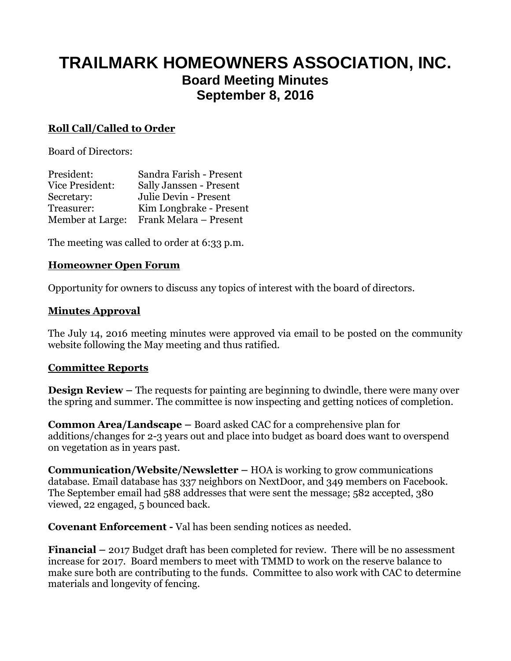# **TRAILMARK HOMEOWNERS ASSOCIATION, INC. Board Meeting Minutes September 8, 2016**

### **Roll Call/Called to Order**

Board of Directors:

| President:       | Sandra Farish - Present |
|------------------|-------------------------|
| Vice President:  | Sally Janssen - Present |
| Secretary:       | Julie Devin - Present   |
| Treasurer:       | Kim Longbrake - Present |
| Member at Large: | Frank Melara - Present  |

The meeting was called to order at 6:33 p.m.

#### **Homeowner Open Forum**

Opportunity for owners to discuss any topics of interest with the board of directors.

#### **Minutes Approval**

The July 14, 2016 meeting minutes were approved via email to be posted on the community website following the May meeting and thus ratified.

#### **Committee Reports**

**Design Review** – The requests for painting are beginning to dwindle, there were many over the spring and summer. The committee is now inspecting and getting notices of completion.

**Common Area/Landscape –** Board asked CAC for a comprehensive plan for additions/changes for 2-3 years out and place into budget as board does want to overspend on vegetation as in years past.

**Communication/Website/Newsletter –** HOA is working to grow communications database. Email database has 337 neighbors on NextDoor, and 349 members on Facebook. The September email had 588 addresses that were sent the message; 582 accepted, 380 viewed, 22 engaged, 5 bounced back.

**Covenant Enforcement -** Val has been sending notices as needed.

**Financial –** 2017 Budget draft has been completed for review. There will be no assessment increase for 2017. Board members to meet with TMMD to work on the reserve balance to make sure both are contributing to the funds. Committee to also work with CAC to determine materials and longevity of fencing.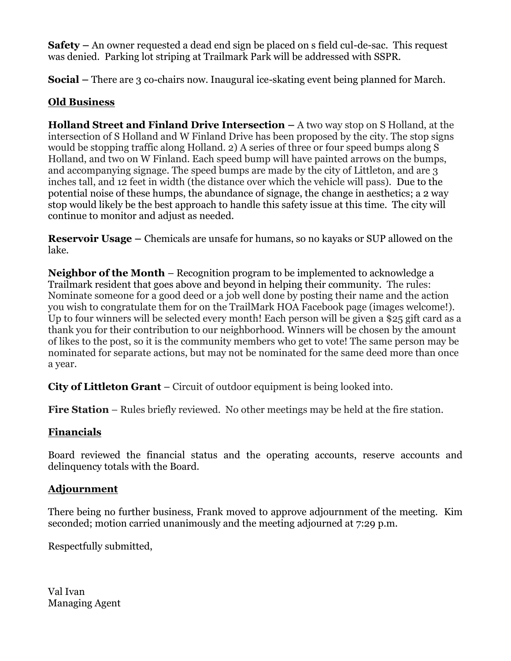**Safety –** An owner requested a dead end sign be placed on s field cul-de-sac. This request was denied. Parking lot striping at Trailmark Park will be addressed with SSPR.

**Social** – There are 3 co-chairs now. Inaugural ice-skating event being planned for March.

### **Old Business**

**Holland Street and Finland Drive Intersection –** A two way stop on S Holland, at the intersection of S Holland and W Finland Drive has been proposed by the city. The stop signs would be stopping traffic along Holland. 2) A series of three or four speed bumps along S Holland, and two on W Finland. Each speed bump will have painted arrows on the bumps, and accompanying signage. The speed bumps are made by the city of Littleton, and are 3 inches tall, and 12 feet in width (the distance over which the vehicle will pass). Due to the potential noise of these humps, the abundance of signage, the change in aesthetics; a 2 way stop would likely be the best approach to handle this safety issue at this time. The city will continue to monitor and adjust as needed.

**Reservoir Usage –** Chemicals are unsafe for humans, so no kayaks or SUP allowed on the lake.

**Neighbor of the Month** – Recognition program to be implemented to acknowledge a Trailmark resident that goes above and beyond in helping their community. The rules: Nominate someone for a good deed or a job well done by posting their name and the action you wish to congratulate them for on the TrailMark HOA Facebook page (images welcome!). Up to four winners will be selected every month! Each person will be given a \$25 gift card as a thank you for their contribution to our neighborhood. Winners will be chosen by the amount of likes to the post, so it is the community members who get to vote! The same person may be nominated for separate actions, but may not be nominated for the same deed more than once a year.

**City of Littleton Grant** – Circuit of outdoor equipment is being looked into.

**Fire Station** – Rules briefly reviewed. No other meetings may be held at the fire station.

## **Financials**

Board reviewed the financial status and the operating accounts, reserve accounts and delinquency totals with the Board.

### **Adjournment**

There being no further business, Frank moved to approve adjournment of the meeting. Kim seconded; motion carried unanimously and the meeting adjourned at 7:29 p.m.

Respectfully submitted,

Val Ivan Managing Agent